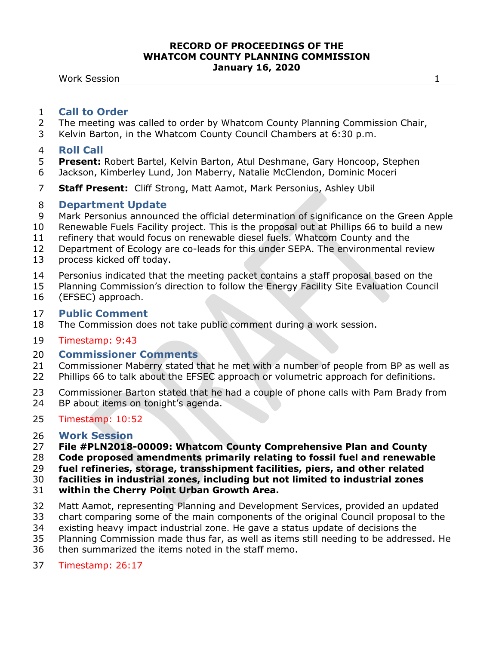**Work Session 1** 

### **Call to Order**

- The meeting was called to order by Whatcom County Planning Commission Chair,
- Kelvin Barton, in the Whatcom County Council Chambers at 6:30 p.m.

### **Roll Call**

- **Present:** Robert Bartel, Kelvin Barton, Atul Deshmane, Gary Honcoop, Stephen
- Jackson, Kimberley Lund, Jon Maberry, Natalie McClendon, Dominic Moceri
- **Staff Present:** Cliff Strong, Matt Aamot, Mark Personius, Ashley Ubil

# **Department Update**

- Mark Personius announced the official determination of significance on the Green Apple
- Renewable Fuels Facility project. This is the proposal out at Phillips 66 to build a new
- refinery that would focus on renewable diesel fuels. Whatcom County and the
- Department of Ecology are co-leads for this under SEPA. The environmental review
- process kicked off today.
- Personius indicated that the meeting packet contains a staff proposal based on the
- Planning Commission's direction to follow the Energy Facility Site Evaluation Council
- (EFSEC) approach.

# **Public Comment**

The Commission does not take public comment during a work session.

# Timestamp: 9:43

# **Commissioner Comments**

- Commissioner Maberry stated that he met with a number of people from BP as well as Phillips 66 to talk about the EFSEC approach or volumetric approach for definitions.
- Commissioner Barton stated that he had a couple of phone calls with Pam Brady from BP about items on tonight's agenda.
- Timestamp: 10:52

# **Work Session**

- **File #PLN2018-00009: Whatcom County Comprehensive Plan and County**
- **Code proposed amendments primarily relating to fossil fuel and renewable**
- **fuel refineries, storage, transshipment facilities, piers, and other related**
- **facilities in industrial zones, including but not limited to industrial zones**
- **within the Cherry Point Urban Growth Area.**
- Matt Aamot, representing Planning and Development Services, provided an updated
- chart comparing some of the main components of the original Council proposal to the
- existing heavy impact industrial zone. He gave a status update of decisions the
- Planning Commission made thus far, as well as items still needing to be addressed. He
- then summarized the items noted in the staff memo.
- Timestamp: 26:17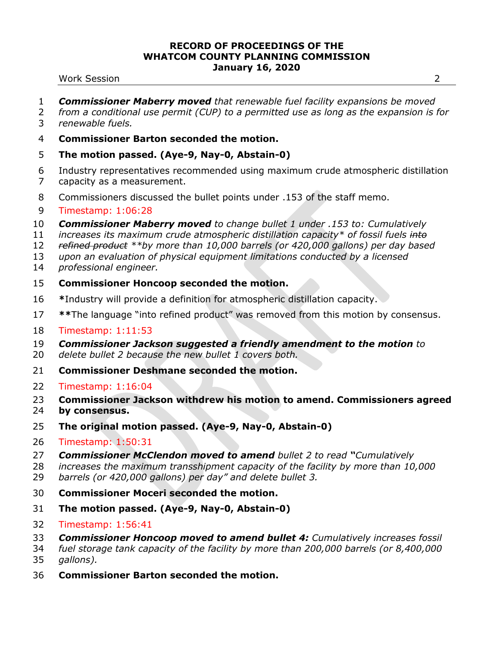#### Work Session 2

- *Commissioner Maberry moved that renewable fuel facility expansions be moved*
- *from a conditional use permit (CUP) to a permitted use as long as the expansion is for renewable fuels.*
- **Commissioner Barton seconded the motion.**
- **The motion passed. (Aye-9, Nay-0, Abstain-0)**
- Industry representatives recommended using maximum crude atmospheric distillation capacity as a measurement.
- Commissioners discussed the bullet points under .153 of the staff memo.
- Timestamp: 1:06:28
- *Commissioner Maberry moved to change bullet 1 under .153 to: Cumulatively*
- *increases its maximum crude atmospheric distillation capacity\* of fossil fuels into*
- *refined product \*\*by more than 10,000 barrels (or 420,000 gallons) per day based*
- *upon an evaluation of physical equipment limitations conducted by a licensed*
- *professional engineer.*
- **Commissioner Honcoop seconded the motion.**
- **\***Industry will provide a definition for atmospheric distillation capacity.
- **\*\***The language "into refined product" was removed from this motion by consensus.

#### Timestamp: 1:11:53

- *Commissioner Jackson suggested a friendly amendment to the motion to*
- *delete bullet 2 because the new bullet 1 covers both.*
- **Commissioner Deshmane seconded the motion.**
- Timestamp: 1:16:04
- **Commissioner Jackson withdrew his motion to amend. Commissioners agreed**
- **by consensus.**
- **The original motion passed. (Aye-9, Nay-0, Abstain-0)**
- Timestamp: 1:50:31
- *Commissioner McClendon moved to amend bullet 2 to read "Cumulatively*
- *increases the maximum transshipment capacity of the facility by more than 10,000*
- *barrels (or 420,000 gallons) per day" and delete bullet 3.*
- **Commissioner Moceri seconded the motion.**
- **The motion passed. (Aye-9, Nay-0, Abstain-0)**
- Timestamp: 1:56:41
- *Commissioner Honcoop moved to amend bullet 4: Cumulatively increases fossil*
- *fuel storage tank capacity of the facility by more than 200,000 barrels (or 8,400,000 gallons).*
- **Commissioner Barton seconded the motion.**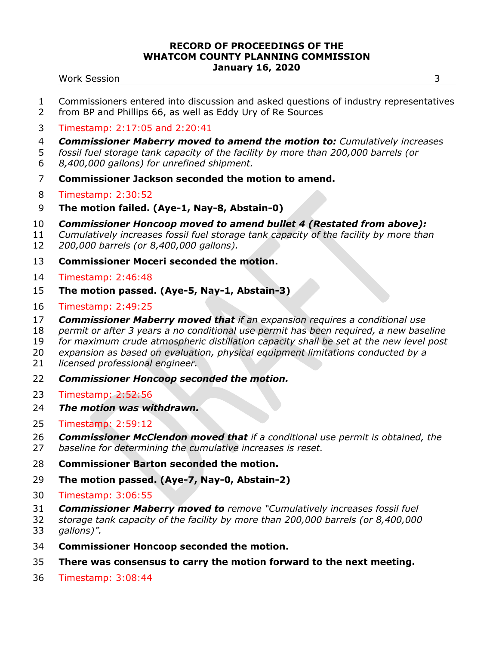#### Work Session 3

- Commissioners entered into discussion and asked questions of industry representatives
- from BP and Phillips 66, as well as Eddy Ury of Re Sources
- Timestamp: 2:17:05 and 2:20:41
- *Commissioner Maberry moved to amend the motion to: Cumulatively increases*
- *fossil fuel storage tank capacity of the facility by more than 200,000 barrels (or*
- *8,400,000 gallons) for unrefined shipment.*
- **Commissioner Jackson seconded the motion to amend.**
- Timestamp: 2:30:52
- **The motion failed. (Aye-1, Nay-8, Abstain-0)**
- *Commissioner Honcoop moved to amend bullet 4 (Restated from above):*
- *Cumulatively increases fossil fuel storage tank capacity of the facility by more than*
- *200,000 barrels (or 8,400,000 gallons).*
- **Commissioner Moceri seconded the motion.**
- Timestamp: 2:46:48
- **The motion passed. (Aye-5, Nay-1, Abstain-3)**
- Timestamp: 2:49:25
- *Commissioner Maberry moved that if an expansion requires a conditional use*
- *permit or after 3 years a no conditional use permit has been required, a new baseline*
- *for maximum crude atmospheric distillation capacity shall be set at the new level post*
- *expansion as based on evaluation, physical equipment limitations conducted by a*
- *licensed professional engineer.*
- *Commissioner Honcoop seconded the motion.*
- Timestamp: 2:52:56
- *The motion was withdrawn.*
- Timestamp: 2:59:12
- *Commissioner McClendon moved that if a conditional use permit is obtained, the*
- *baseline for determining the cumulative increases is reset.*
- **Commissioner Barton seconded the motion.**
- **The motion passed. (Aye-7, Nay-0, Abstain-2)**
- Timestamp: 3:06:55
- *Commissioner Maberry moved to remove "Cumulatively increases fossil fuel*
- *storage tank capacity of the facility by more than 200,000 barrels (or 8,400,000 gallons)".*
- **Commissioner Honcoop seconded the motion.**
- **There was consensus to carry the motion forward to the next meeting.**
- Timestamp: 3:08:44